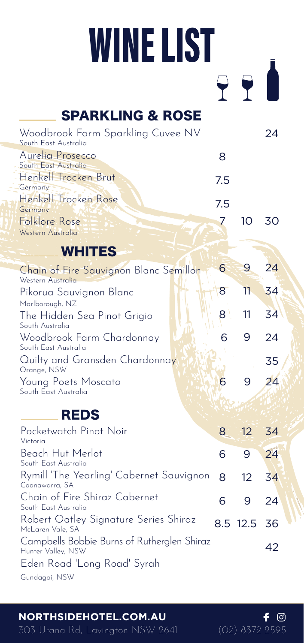## **WINE LIST**

| <b>SPARKLING &amp; ROSE</b>                                       |     |       |     |
|-------------------------------------------------------------------|-----|-------|-----|
| Woodbrook Farm Sparkling Cuvee NV<br>South East Australia         |     |       | 24  |
| Aurelia Prosecco<br>South East Australia                          | 8   |       |     |
| Henkell Trocken Brut<br>Germany                                   | 7.5 |       |     |
| Henkel Trocken Rose<br>Germany                                    | 7.5 |       |     |
| Folklore Rose<br>Western Australia                                | 7   | 10    | 30  |
| <b>WHITES</b>                                                     |     |       |     |
| Chain of Fire Sauvignon Blanc Semillon<br>Western Australia       | 6   | 9     | 24  |
| Pikorua Sauvignon Blanc                                           | 8   | 11    | 34  |
| Marlborough, NZ<br>The Hidden Sea Pinot Grigio<br>South Australia | 8   | 11    | 34  |
| Woodbrook Farm Chardonnay<br>South East Australia                 | 6   | 9     | 24  |
| Quilty and Gransden Chardonnay<br>Orange, NSW                     |     |       | 35  |
| Young Poets Moscato<br>South East Australia                       | 6   | 9     | 24  |
| <b>REDS</b>                                                       |     |       |     |
| Pocketwatch Pinot Noir<br>Victoria                                | 8   | 12    | 34  |
| Beach Hut Merlot<br>South East Australia                          | 6   | 9     | 24  |
| Rymill 'The Yearling' Cabernet Sauvignon<br>Coonawarra, SA        | 8   | 12    | 34  |
| Chain of Fire Shiraz Cabernet<br>South East Australia             | 6   | 9     | 24  |
| Robert Oatley Signature Series Shiraz                             |     | 85175 | ZG. |

**NORTHSIDEHOTEL.COM.AU**

Eden Road 'Long Road' Syrah

Campbells Bobbie Burns of Rutherglen Shiraz Hunter Valley, NSW

McLaren Vale, SA

Gundagai, NSW

12.5 8.5 36

42